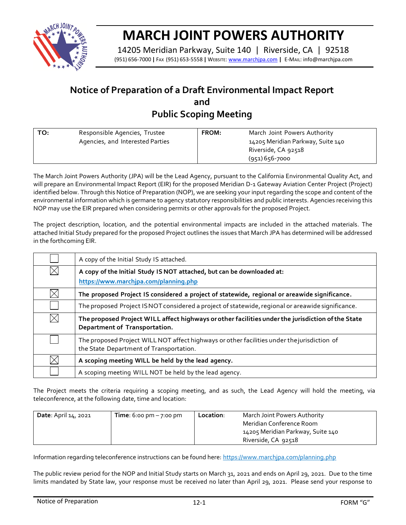

## **MARCH JOINT POWERS AUTHORITY**

14205 Meridian Parkway, Suite 140 | Riverside, CA | 92518 (951) 656-7000 **|** FAX (951) 653-5558 **|** WEBSITE: [www.marchjpa.com](http://www.marchjpa.com/) **|** E-MAIL: info@marchjpa.com

## **Notice of Preparation of a Draft Environmental Impact Report and Public Scoping Meeting**

| TO:<br>Responsible Agencies, Trustee<br>Agencies, and Interested Parties | <b>FROM:</b> | March Joint Powers Authority<br>14205 Meridian Parkway, Suite 140<br>Riverside, CA 92518<br>$(951)$ 656-7000 |
|--------------------------------------------------------------------------|--------------|--------------------------------------------------------------------------------------------------------------|
|                                                                          |              |                                                                                                              |

The March Joint Powers Authority (JPA) will be the Lead Agency, pursuant to the California Environmental Quality Act, and will prepare an Environmental Impact Report (EIR) for the proposed Meridian D-1 Gateway Aviation Center Project (Project) identified below. Through this Notice of Preparation (NOP), we are seeking your input regarding the scope and content of the environmental information which is germane to agency statutory responsibilities and public interests. Agencies receiving this NOP may use the EIR prepared when considering permits or other approvals for the proposed Project.

The project description, location, and the potential environmental impacts are included in the attached materials. The attached Initial Study prepared for the proposed Project outlines the issues that March JPA has determined will be addressed in the forthcoming EIR.

|             | A copy of the Initial Study IS attached.                                                                                               |
|-------------|----------------------------------------------------------------------------------------------------------------------------------------|
| $\times$    | A copy of the Initial Study IS NOT attached, but can be downloaded at:<br>https://www.marchipa.com/planning.php                        |
| $\times$    | The proposed Project IS considered a project of statewide, regional or areawide significance.                                          |
|             | The proposed Project ISNOT considered a project of statewide, regional or areawide significance.                                       |
| $\boxtimes$ | The proposed Project WILL affect highways or other facilities under the jurisdiction of the State<br>Department of Transportation.     |
|             | The proposed Project WILL NOT affect highways or other facilities under the jurisdiction of<br>the State Department of Transportation. |
| $\times$    | A scoping meeting WILL be held by the lead agency.                                                                                     |
|             | A scoping meeting WILL NOT be held by the lead agency.                                                                                 |

The Project meets the criteria requiring a scoping meeting, and as such, the Lead Agency will hold the meeting, via teleconference, at the following date, time and location:

| <b>Date: April 14, 2021</b> | <b>Time</b> : 6:00 pm $-7$ :00 pm | Location: | March Joint Powers Authority<br>Meridian Conference Room |
|-----------------------------|-----------------------------------|-----------|----------------------------------------------------------|
|                             |                                   |           | 14205 Meridian Parkway, Suite 140                        |
|                             |                                   |           | Riverside, CA 92518                                      |

Information regarding teleconference instructions can be found here: https://www.marchipa.com/planning.php

The public review period for the NOP and Initial Study starts on March 31, 2021 and ends on April 29, 2021. Due to the time limits mandated by State law, your response must be received no later than April 29, 2021. Please send your response to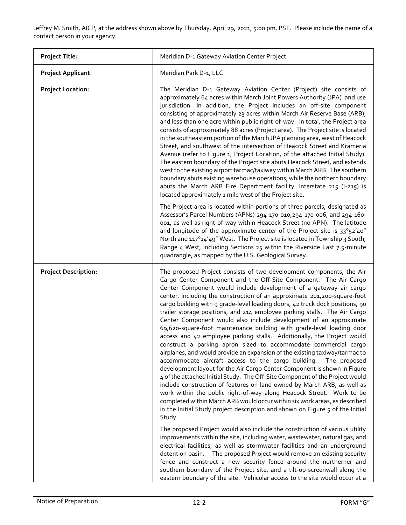Jeffrey M. Smith, AICP, at the address shown above by Thursday, April 29, 2021, 5:00 pm, PST. Please include the name of a contact person in your agency.

| <b>Project Title:</b>       | Meridian D-1 Gateway Aviation Center Project                                                                                                                                                                                                                                                                                                                                                                                                                                                                                                                                                                                                                                                                                                                                                                                                                                                                                                                                                                                                                                                                                                                                                                                                                                                                                                                                                                                                                                                                                                                                                                                                                                                                                                                                                                                                                                                                                                             |
|-----------------------------|----------------------------------------------------------------------------------------------------------------------------------------------------------------------------------------------------------------------------------------------------------------------------------------------------------------------------------------------------------------------------------------------------------------------------------------------------------------------------------------------------------------------------------------------------------------------------------------------------------------------------------------------------------------------------------------------------------------------------------------------------------------------------------------------------------------------------------------------------------------------------------------------------------------------------------------------------------------------------------------------------------------------------------------------------------------------------------------------------------------------------------------------------------------------------------------------------------------------------------------------------------------------------------------------------------------------------------------------------------------------------------------------------------------------------------------------------------------------------------------------------------------------------------------------------------------------------------------------------------------------------------------------------------------------------------------------------------------------------------------------------------------------------------------------------------------------------------------------------------------------------------------------------------------------------------------------------------|
| <b>Project Applicant:</b>   | Meridian Park D-1, LLC                                                                                                                                                                                                                                                                                                                                                                                                                                                                                                                                                                                                                                                                                                                                                                                                                                                                                                                                                                                                                                                                                                                                                                                                                                                                                                                                                                                                                                                                                                                                                                                                                                                                                                                                                                                                                                                                                                                                   |
| <b>Project Location:</b>    | The Meridian D-1 Gateway Aviation Center (Project) site consists of<br>approximately 64 acres within March Joint Powers Authority (JPA) land use<br>jurisdiction. In addition, the Project includes an off-site component<br>consisting of approximately 23 acres within March Air Reserve Base (ARB),<br>and less than one acre within public right-of-way. In total, the Project area<br>consists of approximately 88 acres (Project area). The Project site is located<br>in the southeastern portion of the March JPA planning area, west of Heacock<br>Street, and southwest of the intersection of Heacock Street and Krameria<br>Avenue (refer to Figure 1, Project Location, of the attached Initial Study).<br>The eastern boundary of the Project site abuts Heacock Street, and extends<br>west to the existing airport tarmac/taxiway within March ARB. The southern<br>boundary abuts existing warehouse operations, while the northern boundary<br>abuts the March ARB Fire Department facility. Interstate 215 (I-215) is<br>located approximately 1 mile west of the Project site.                                                                                                                                                                                                                                                                                                                                                                                                                                                                                                                                                                                                                                                                                                                                                                                                                                                       |
|                             | The Project area is located within portions of three parcels, designated as<br>Assessor's Parcel Numbers (APNs) 294-170-010, 294-170-006, and 294-160-<br>001, as well as right-of-way within Heacock Street (no APN). The latitude<br>and longitude of the approximate center of the Project site is 33°52'40"<br>North and 117°14'49" West. The Project site is located in Township 3 South,<br>Range 4 West, including Sections 25 within the Riverside East 7.5-minute<br>quadrangle, as mapped by the U.S. Geological Survey.                                                                                                                                                                                                                                                                                                                                                                                                                                                                                                                                                                                                                                                                                                                                                                                                                                                                                                                                                                                                                                                                                                                                                                                                                                                                                                                                                                                                                       |
| <b>Project Description:</b> | The proposed Project consists of two development components, the Air<br>Cargo Center Component and the Off-Site Component. The Air Cargo<br>Center Component would include development of a gateway air cargo<br>center, including the construction of an approximate 201,200-square-foot<br>cargo building with 9 grade-level loading doors, 42 truck dock positions, 90<br>trailer storage positions, and 214 employee parking stalls. The Air Cargo<br>Center Component would also include development of an approximate<br>69,620-square-foot maintenance building with grade-level loading door<br>access and 42 employee parking stalls. Additionally, the Project would<br>construct a parking apron sized to accommodate commercial cargo<br>airplanes, and would provide an expansion of the existing taxiway/tarmac to<br>accommodate aircraft access to the cargo building.<br>The proposed<br>development layout for the Air Cargo Center Component is shown in Figure<br>4 of the attached Initial Study. The Off-Site Component of the Project would<br>include construction of features on land owned by March ARB, as well as<br>work within the public right-of-way along Heacock Street. Work to be<br>completed within March ARB would occur within six work areas, as described<br>in the Initial Study project description and shown on Figure 5 of the Initial<br>Study.<br>The proposed Project would also include the construction of various utility<br>improvements within the site, including water, wastewater, natural gas, and<br>electrical facilities, as well as stormwater facilities and an underground<br>detention basin.  The proposed Project would remove an existing security<br>fence and construct a new security fence around the northerner and<br>southern boundary of the Project site, and a tilt-up screenwall along the<br>eastern boundary of the site. Vehicular access to the site would occur at a |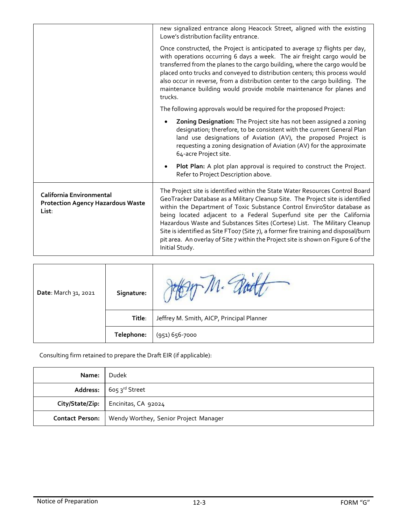|                                                                               | new signalized entrance along Heacock Street, aligned with the existing<br>Lowe's distribution facility entrance.                                                                                                                                                                                                                                                                                                                                                                                                                                                                               |
|-------------------------------------------------------------------------------|-------------------------------------------------------------------------------------------------------------------------------------------------------------------------------------------------------------------------------------------------------------------------------------------------------------------------------------------------------------------------------------------------------------------------------------------------------------------------------------------------------------------------------------------------------------------------------------------------|
|                                                                               | Once constructed, the Project is anticipated to average 17 flights per day,<br>with operations occurring 6 days a week. The air freight cargo would be<br>transferred from the planes to the cargo building, where the cargo would be<br>placed onto trucks and conveyed to distribution centers; this process would<br>also occur in reverse, from a distribution center to the cargo building. The<br>maintenance building would provide mobile maintenance for planes and<br>trucks.                                                                                                         |
|                                                                               | The following approvals would be required for the proposed Project:                                                                                                                                                                                                                                                                                                                                                                                                                                                                                                                             |
|                                                                               | Zoning Designation: The Project site has not been assigned a zoning<br>designation; therefore, to be consistent with the current General Plan<br>land use designations of Aviation (AV), the proposed Project is<br>requesting a zoning designation of Aviation (AV) for the approximate<br>64-acre Project site.                                                                                                                                                                                                                                                                               |
|                                                                               | Plot Plan: A plot plan approval is required to construct the Project.<br>Refer to Project Description above.                                                                                                                                                                                                                                                                                                                                                                                                                                                                                    |
| California Environmental<br><b>Protection Agency Hazardous Waste</b><br>List: | The Project site is identified within the State Water Resources Control Board<br>GeoTracker Database as a Military Cleanup Site. The Project site is identified<br>within the Department of Toxic Substance Control EnviroStor database as<br>being located adjacent to a Federal Superfund site per the California<br>Hazardous Waste and Substances Sites (Cortese) List. The Military Cleanup<br>Site is identified as Site FT007 (Site 7), a former fire training and disposal/burn<br>pit area. An overlay of Site 7 within the Project site is shown on Figure 6 of the<br>Initial Study. |

| Date: March 31, 2021 | Signature: |                                           |
|----------------------|------------|-------------------------------------------|
|                      | Title:     | Jeffrey M. Smith, AICP, Principal Planner |
|                      | Telephone: | (951) 656-7000                            |

Consulting firm retained to prepare the Draft EIR (if applicable):

| Name:                  | Dudek                                      |
|------------------------|--------------------------------------------|
|                        | Address: $\int$ 605 3 <sup>rd</sup> Street |
|                        | City/State/Zip:   Encinitas, CA 92024      |
| <b>Contact Person:</b> | Wendy Worthey, Senior Project Manager      |